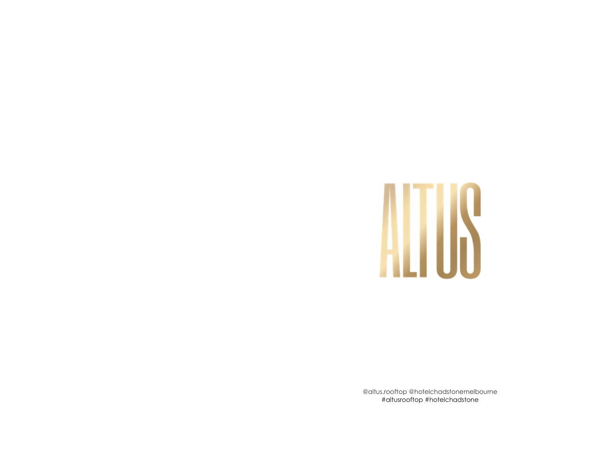

@altus.rooftop @hotelchadstonemelbourne #altusrooftop #hotelchadstone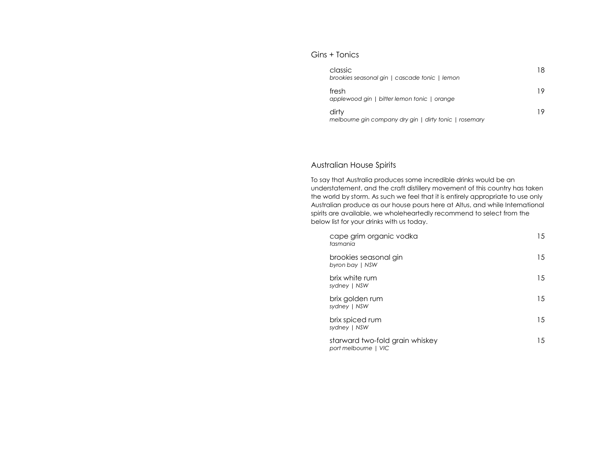### Gins + Tonics

| classic<br>brookies seasonal gin   cascade tonic   lemon        | 18 |
|-----------------------------------------------------------------|----|
| fresh<br>applewood gin   bitter lemon tonic   orange            | 19 |
| dirty<br>melbourne gin company dry gin   dirty tonic   rosemary | 19 |

### Australian House Spirits

To say that Australia produces some incredible drinks would be an understatement, and the craft distillery movement of this country has taken the world by storm. As such we feel that it is entirely appropriate to use only Australian produce as our house pours here at Altus, and while International spirits are available, we wholeheartedly recommend to select from the below list for your drinks with us today.

| cape grim organic vodka<br>tasmania                     | 15. |
|---------------------------------------------------------|-----|
| brookies seasonal gin<br>byron bay   NSW                | 15  |
| brix white rum<br>sydney   NSW                          | 15  |
| brix golden rum<br>sydney   NSW                         | 15  |
| brix spiced rum<br>sydney   NSW                         | 15  |
| starward two-fold grain whiskey<br>port melbourne   VIC | 15  |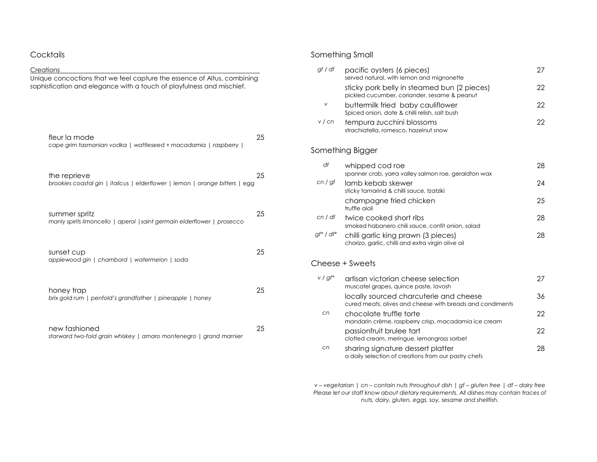| Cocktails                                                                                                                                        |    |
|--------------------------------------------------------------------------------------------------------------------------------------------------|----|
| Creations                                                                                                                                        |    |
| Unique concoctions that we feel capture the essence of Altus, combining<br>sophistication and elegance with a touch of playfulness and mischief. |    |
| fleur la mode<br>cape grim tasmanian vodka   wattleseed + macadamia   raspberry                                                                  | 25 |
| the reprieve<br>brookies coastal gin   italicus   elderflower   lemon   orange bitters   egg                                                     | 25 |
| summer spritz<br>manly spirits limoncello   aperol   saint germain elderflower   prosecco                                                        | 25 |
| sunset cup<br>applewood gin   chambord   watermelon   soda                                                                                       | 25 |
| honey trap<br>brix gold rum   penfold's grandfather   pineapple   honey                                                                          | 25 |
| new fashioned<br>starward two-fold grain whiskey   amaro montenegro   grand marnier                                                              | 25 |

## Something Small

| gf / df<br>pacific oysters (6 pieces)<br>served natural, with lemon and mignonette                        | 27 |
|-----------------------------------------------------------------------------------------------------------|----|
| sticky pork belly in steamed bun (2 pieces)<br>pickled cucumber, coriander, sesame & peanut               | 22 |
| v<br>buttermilk fried baby cauliflower<br>Spiced onion, date & chilli relish, salt bush                   | 22 |
| v / cn<br>tempura zucchini blossoms<br>strachiatella, romesco, hazelnut snow                              | 22 |
| Something Bigger                                                                                          |    |
| df<br>whipped cod roe<br>spanner crab, yarra valley salmon roe, geraldton wax                             | 28 |
| cn / gf<br>lamb kebab skewer<br>sticky tamarind & chilli sauce, tzatziki                                  | 24 |
| champagne fried chicken<br>truffle aioli                                                                  | 25 |
| cn/df<br>twice cooked short ribs<br>smoked habanero chili sauce, confit onion, salad                      | 28 |
| $gf^*$ / df*<br>chilli garlic king prawn (3 pieces)<br>chorizo, garlic, chilli and extra virgin olive oil | 28 |
| Cheese + Sweets                                                                                           |    |
| $v / gf^*$<br>artisan victorian cheese selection<br>muscatel grapes, quince paste, lavosh                 | 27 |
| locally sourced charcuterie and cheese<br>cured meats, olives and cheese with breads and condiments       | 36 |
| cn<br>chocolate truffle torte<br>mandarin crème, raspberry crisp, macadamia ice cream                     | 22 |
| passionfruit brulee tart<br>clotted cream, meringue, lemongrass sorbet                                    | 22 |
| cn<br>sharing signature dessert platter<br>a daily selection of creations from our pastry chefs           | 28 |

*v – vegetarian | cn – contain nuts throughout dish | gf – gluten free | df – dairy free Please let our staff know about dietary requirements. All dishes may contain traces of nuts, dairy, gluten, eggs, soy, sesame and shellfish.*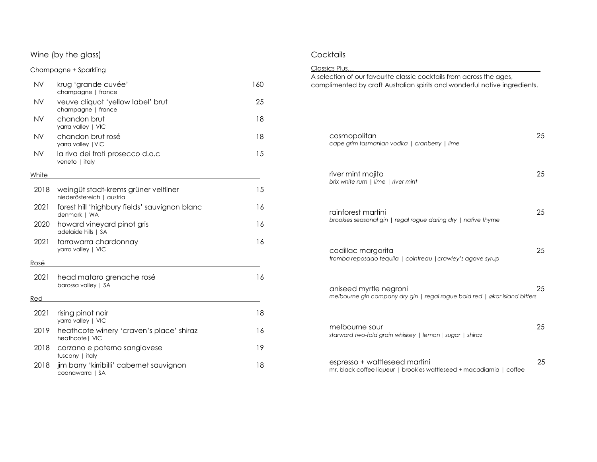#### Wine (by the glass)

### Champagne + Sparkling

| <b>NV</b> | krug 'grande cuvée'<br>champagne   france                         | 160 |
|-----------|-------------------------------------------------------------------|-----|
| NV        | veuve cliquot 'yellow label' brut<br>champagne   france           | 25  |
| NV        | chandon brut<br>yarra valley   VIC                                | 18  |
| <b>NV</b> | chandon brut rosé<br>yarra valley   VIC                           | 18  |
| <b>NV</b> | la riva dei frati prosecco d.o.c<br>veneto   italy                | 15  |
| White     |                                                                   |     |
| 2018      | weingüt stadt-krems grüner veltliner<br>niederöstereich   austria | 15  |
| 2021      | forest hill 'highbury fields' sauvignon blanc<br>denmark   WA     | 16  |
| 2020      | howard vineyard pinot gris<br>adelaide hills   SA                 | 16  |
| 2021      | tarrawarra chardonnay<br>yarra valley   VIC                       | 16  |
| Rosé      |                                                                   |     |
| 2021      | head mataro grenache rosé<br>barossa valley   SA                  | 16  |
| Red       |                                                                   |     |
| 2021      | rising pinot noir<br>yarra valley   VIC                           | 18  |
| 2019      | heathcote winery 'craven's place' shiraz<br>heathcote   VIC       | 16  |
| 2018      | corzano e paterno sangiovese<br>tuscany   italy                   | 19  |
| 2018      | jim barry 'kirribilli' cabernet sauvignon<br>coonawarra   SA      | 18  |

# **Cocktails**

| Classics Plus                                                                                                                                      |    |
|----------------------------------------------------------------------------------------------------------------------------------------------------|----|
| A selection of our favourite classic cocktails from across the ages,<br>complimented by craft Australian spirits and wonderful native ingredients. |    |
| cosmopolitan<br>cape grim tasmanian vodka   cranberry   lime                                                                                       | 25 |
| river mint mojito<br>brix white rum   lime   river mint                                                                                            | 25 |
| rainforest martini<br>brookies seasonal gin   regal rogue daring dry   native thyme                                                                | 25 |
| cadillac margarita<br>tromba reposado tequila   cointreau   crawley's agave syrup                                                                  | 25 |
| aniseed myrtle negroni<br>melbourne gin company dry gin   regal rogue bold red   økar island bitters                                               | 25 |
| melbourne sour<br>starward two-fold grain whiskey   lemon   sugar   shiraz                                                                         | 25 |
| espresso + wattleseed martini<br>mr. black coffee liqueur   brookies wattleseed + macadiamia   coffee                                              | 25 |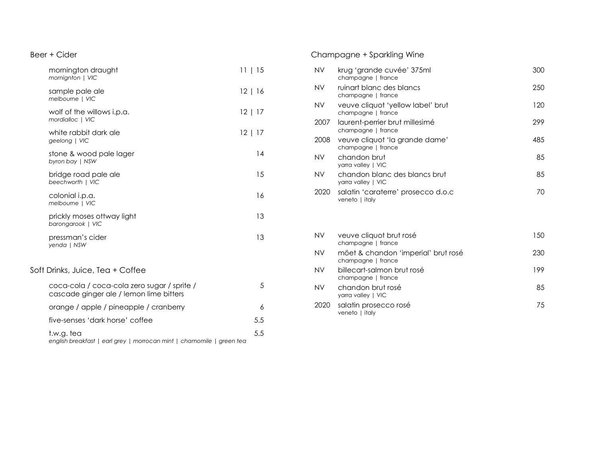## Beer + Cider

| mornington draught<br>mornignton   VIC                                                 | 11   15      |  |
|----------------------------------------------------------------------------------------|--------------|--|
| sample pale ale<br>melbourne   VIC                                                     | 12   16      |  |
| wolf of the willows i.p.a.<br>mordialloc   VIC                                         | 12   17      |  |
| white rabbit dark ale<br>geelong   VIC                                                 | $12 \mid 17$ |  |
| stone & wood pale lager<br>byron bay   NSW                                             | 14           |  |
| bridge road pale ale<br>beechworth   VIC                                               | 15           |  |
| colonial i.p.a.<br>melbourne   VIC                                                     | 16           |  |
| prickly moses ottway light<br>barongarook   VIC                                        | 13           |  |
| pressman's cider<br>yenda   NSW                                                        | 13           |  |
| Soft Drinks, Juice, Tea + Coffee                                                       |              |  |
| coca-cola / coca-cola zero sugar / sprite /<br>cascade ginger ale / lemon lime bitters | 5            |  |
| orange / apple / pineapple / cranberry                                                 | 6            |  |
| five-senses 'dark horse' coffee                                                        | 5.5          |  |
| t.w.g. tea<br>english breakfast   earl grey   morrocan mint   chamomile   green tea    | 5.5          |  |

# Champagne + Sparkling Wine

| NV   | krug 'grande cuvée' 375ml<br>champagne   france         | 300 |
|------|---------------------------------------------------------|-----|
| NV   | ruinart blanc des blancs<br>champagne   france          | 250 |
| NV.  | veuve cliquot 'yellow label' brut<br>champagne   france | 120 |
| 2007 | laurent-perrier brut millesimé<br>champagne   france    | 299 |
| 2008 | veuve cliquot 'la grande dame'<br>champagne   france    | 485 |
| NV   | chandon brut<br>yarra valley   VIC                      | 85  |
| NV   | chandon blanc des blancs brut<br>yarra valley   VIC     | 85  |
| 2020 | salatin 'caraterre' prosecco d.o.c<br>veneto   italy    | 70  |
|      |                                                         |     |

| <b>NV</b> | veuve cliquot brut rosé<br>champagne   france             | 150 |
|-----------|-----------------------------------------------------------|-----|
| <b>NV</b> | möet & chandon 'imperial' brut rosé<br>champagne   france | 230 |
| <b>NV</b> | billecart-salmon brut rosé<br>champagne   france          | 199 |
| <b>NV</b> | chandon brut rosé<br>yarra valley   VIC                   | 85  |
| 2020      | salatin prosecco rosé<br>veneto   italy                   | 75  |